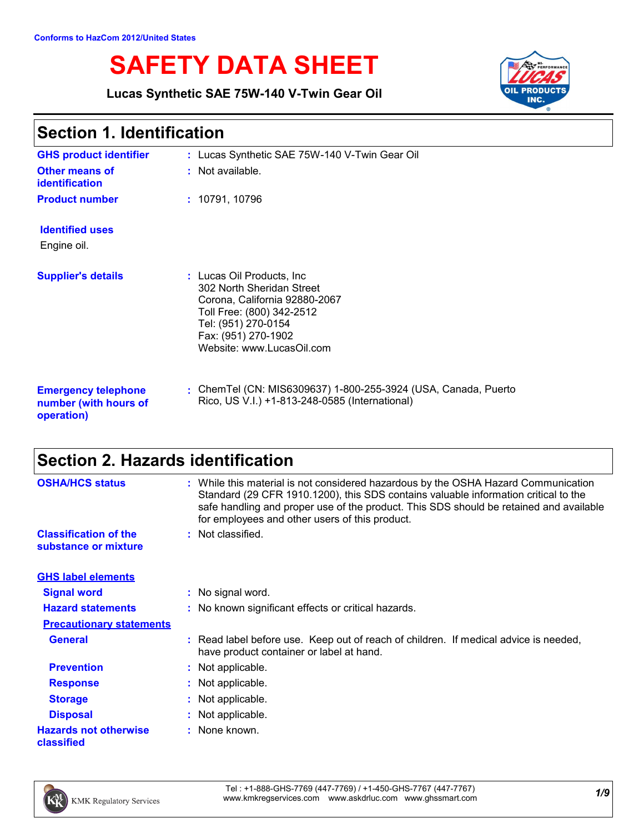# **SAFETY DATA SHEET**

**Lucas Synthetic SAE 75W-140 V-Twin Gear Oil**



### **Section 1. Identification**

| <b>GHS product identifier</b>                                     | : Lucas Synthetic SAE 75W-140 V-Twin Gear Oil                                                                                                                                                    |
|-------------------------------------------------------------------|--------------------------------------------------------------------------------------------------------------------------------------------------------------------------------------------------|
| <b>Other means of</b><br><b>identification</b>                    | $:$ Not available.                                                                                                                                                                               |
| <b>Product number</b>                                             | : 10791, 10796                                                                                                                                                                                   |
| <b>Identified uses</b><br>Engine oil.                             |                                                                                                                                                                                                  |
| <b>Supplier's details</b>                                         | : Lucas Oil Products, Inc.<br>302 North Sheridan Street<br>Corona, California 92880-2067<br>Toll Free: (800) 342-2512<br>Tel: (951) 270-0154<br>Fax: (951) 270-1902<br>Website: www.LucasOil.com |
| <b>Emergency telephone</b><br>number (with hours of<br>operation) | : ChemTel (CN: MIS6309637) 1-800-255-3924 (USA, Canada, Puerto<br>Rico, US V.I.) +1-813-248-0585 (International)                                                                                 |

## **Section 2. Hazards identification**

| <b>OSHA/HCS status</b>                               | While this material is not considered hazardous by the OSHA Hazard Communication<br>ŧ.<br>Standard (29 CFR 1910.1200), this SDS contains valuable information critical to the<br>safe handling and proper use of the product. This SDS should be retained and available<br>for employees and other users of this product. |
|------------------------------------------------------|---------------------------------------------------------------------------------------------------------------------------------------------------------------------------------------------------------------------------------------------------------------------------------------------------------------------------|
| <b>Classification of the</b><br>substance or mixture | : Not classified.                                                                                                                                                                                                                                                                                                         |
| <b>GHS label elements</b>                            |                                                                                                                                                                                                                                                                                                                           |
| <b>Signal word</b>                                   | : No signal word.                                                                                                                                                                                                                                                                                                         |
| <b>Hazard statements</b>                             | : No known significant effects or critical hazards.                                                                                                                                                                                                                                                                       |
| <b>Precautionary statements</b>                      |                                                                                                                                                                                                                                                                                                                           |
| <b>General</b>                                       | Read label before use. Keep out of reach of children. If medical advice is needed,<br>have product container or label at hand.                                                                                                                                                                                            |
| <b>Prevention</b>                                    | Not applicable.                                                                                                                                                                                                                                                                                                           |
| <b>Response</b>                                      | : Not applicable.                                                                                                                                                                                                                                                                                                         |
| <b>Storage</b>                                       | : Not applicable.                                                                                                                                                                                                                                                                                                         |
| <b>Disposal</b>                                      | Not applicable.                                                                                                                                                                                                                                                                                                           |
| <b>Hazards not otherwise</b><br>classified           | None known.<br>÷.                                                                                                                                                                                                                                                                                                         |

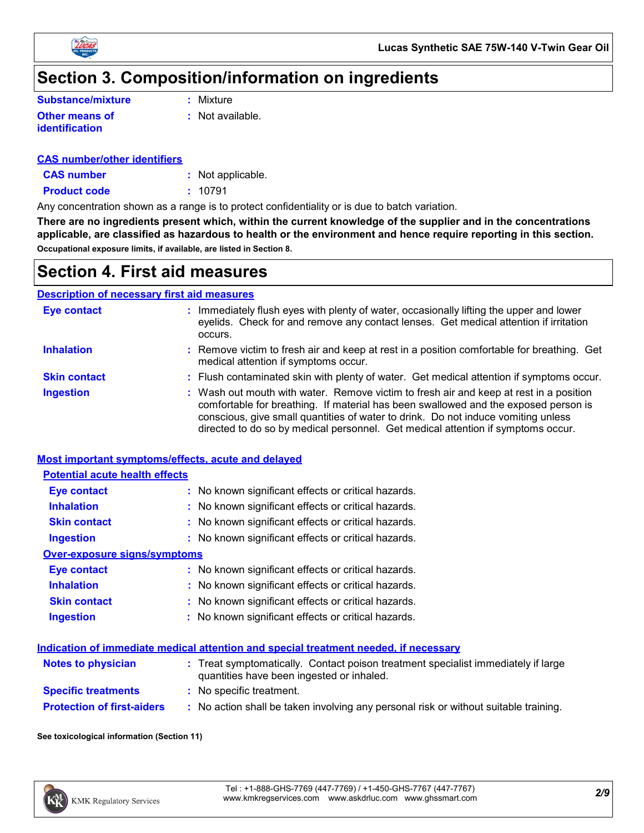



### **Section 3. Composition/information on ingredients**

| <b>Substance/mixture</b> |  |  |  |  |
|--------------------------|--|--|--|--|
| <b>Other means of</b>    |  |  |  |  |
| identification           |  |  |  |  |

**:** Mixture

**:** Not available.

#### **CAS number/other identifiers**

**CAS number :** Not applicable.

**Product code :** 10791

Any concentration shown as a range is to protect confidentiality or is due to batch variation.

**There are no ingredients present which, within the current knowledge of the supplier and in the concentrations applicable, are classified as hazardous to health or the environment and hence require reporting in this section. Occupational exposure limits, if available, are listed in Section 8.**

### **Section 4. First aid measures**

#### **Description of necessary first aid measures**

| Eye contact         | : Immediately flush eyes with plenty of water, occasionally lifting the upper and lower<br>eyelids. Check for and remove any contact lenses. Get medical attention if irritation<br>occurs.                                                                                                                                                            |
|---------------------|--------------------------------------------------------------------------------------------------------------------------------------------------------------------------------------------------------------------------------------------------------------------------------------------------------------------------------------------------------|
| <b>Inhalation</b>   | : Remove victim to fresh air and keep at rest in a position comfortable for breathing. Get<br>medical attention if symptoms occur.                                                                                                                                                                                                                     |
| <b>Skin contact</b> | : Flush contaminated skin with plenty of water. Get medical attention if symptoms occur.                                                                                                                                                                                                                                                               |
| <b>Ingestion</b>    | : Wash out mouth with water. Remove victim to fresh air and keep at rest in a position<br>comfortable for breathing. If material has been swallowed and the exposed person is<br>conscious, give small quantities of water to drink. Do not induce vomiting unless<br>directed to do so by medical personnel. Get medical attention if symptoms occur. |

#### **Most important symptoms/effects, acute and delayed**

#### **Inhalation <b>:** No known significant effects or critical hazards. **Ingestion :** No known significant effects or critical hazards. **Skin contact :** No known significant effects or critical hazards. **Eye contact :** No known significant effects or critical hazards. **Over-exposure signs/symptoms Skin contact Ingestion Inhalation** No known significant effects or critical hazards. **:** No known significant effects or critical hazards. **:** No known significant effects or critical hazards. **: Eye contact :** No known significant effects or critical hazards. **Potential acute health effects Indication of immediate medical attention and special treatment needed, if necessary**

| <b>Notes to physician</b>         | : Treat symptomatically. Contact poison treatment specialist immediately if large<br>quantities have been ingested or inhaled. |
|-----------------------------------|--------------------------------------------------------------------------------------------------------------------------------|
| <b>Specific treatments</b>        | : No specific treatment.                                                                                                       |
| <b>Protection of first-aiders</b> | : No action shall be taken involving any personal risk or without suitable training.                                           |

#### **See toxicological information (Section 11)**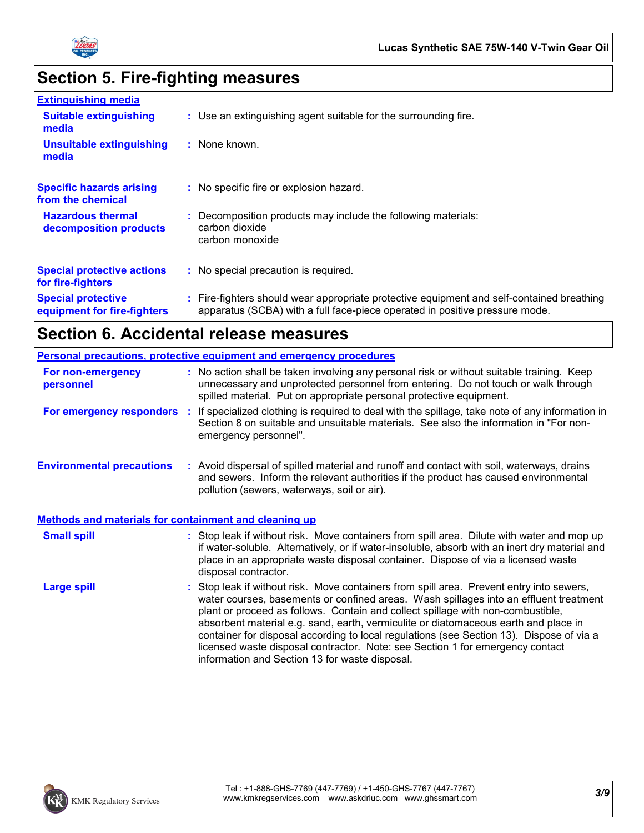

# **Section 5. Fire-fighting measures**

| <b>Extinguishing media</b>                               |                                                                                                                                                                        |
|----------------------------------------------------------|------------------------------------------------------------------------------------------------------------------------------------------------------------------------|
| <b>Suitable extinguishing</b><br>media                   | : Use an extinguishing agent suitable for the surrounding fire.                                                                                                        |
| <b>Unsuitable extinguishing</b><br>media                 | : None known.                                                                                                                                                          |
| <b>Specific hazards arising</b><br>from the chemical     | : No specific fire or explosion hazard.                                                                                                                                |
| <b>Hazardous thermal</b><br>decomposition products       | Decomposition products may include the following materials:<br>carbon dioxide<br>carbon monoxide                                                                       |
| <b>Special protective actions</b><br>for fire-fighters   | : No special precaution is required.                                                                                                                                   |
| <b>Special protective</b><br>equipment for fire-fighters | Fire-fighters should wear appropriate protective equipment and self-contained breathing<br>apparatus (SCBA) with a full face-piece operated in positive pressure mode. |

# **Section 6. Accidental release measures**

| <b>Personal precautions, protective equipment and emergency procedures</b> |  |                                                                                                                                                                                                                                                                                                                                                                                                                                                                                                                                                                                            |  |
|----------------------------------------------------------------------------|--|--------------------------------------------------------------------------------------------------------------------------------------------------------------------------------------------------------------------------------------------------------------------------------------------------------------------------------------------------------------------------------------------------------------------------------------------------------------------------------------------------------------------------------------------------------------------------------------------|--|
| For non-emergency<br>personnel                                             |  | : No action shall be taken involving any personal risk or without suitable training. Keep<br>unnecessary and unprotected personnel from entering. Do not touch or walk through<br>spilled material. Put on appropriate personal protective equipment.                                                                                                                                                                                                                                                                                                                                      |  |
|                                                                            |  | For emergency responders : If specialized clothing is required to deal with the spillage, take note of any information in<br>Section 8 on suitable and unsuitable materials. See also the information in "For non-<br>emergency personnel".                                                                                                                                                                                                                                                                                                                                                |  |
| <b>Environmental precautions</b>                                           |  | : Avoid dispersal of spilled material and runoff and contact with soil, waterways, drains<br>and sewers. Inform the relevant authorities if the product has caused environmental<br>pollution (sewers, waterways, soil or air).                                                                                                                                                                                                                                                                                                                                                            |  |
| <b>Methods and materials for containment and cleaning up</b>               |  |                                                                                                                                                                                                                                                                                                                                                                                                                                                                                                                                                                                            |  |
| <b>Small spill</b>                                                         |  | : Stop leak if without risk. Move containers from spill area. Dilute with water and mop up<br>if water-soluble. Alternatively, or if water-insoluble, absorb with an inert dry material and<br>place in an appropriate waste disposal container. Dispose of via a licensed waste<br>disposal contractor.                                                                                                                                                                                                                                                                                   |  |
| <b>Large spill</b>                                                         |  | : Stop leak if without risk. Move containers from spill area. Prevent entry into sewers,<br>water courses, basements or confined areas. Wash spillages into an effluent treatment<br>plant or proceed as follows. Contain and collect spillage with non-combustible,<br>absorbent material e.g. sand, earth, vermiculite or diatomaceous earth and place in<br>container for disposal according to local regulations (see Section 13). Dispose of via a<br>licensed waste disposal contractor. Note: see Section 1 for emergency contact<br>information and Section 13 for waste disposal. |  |

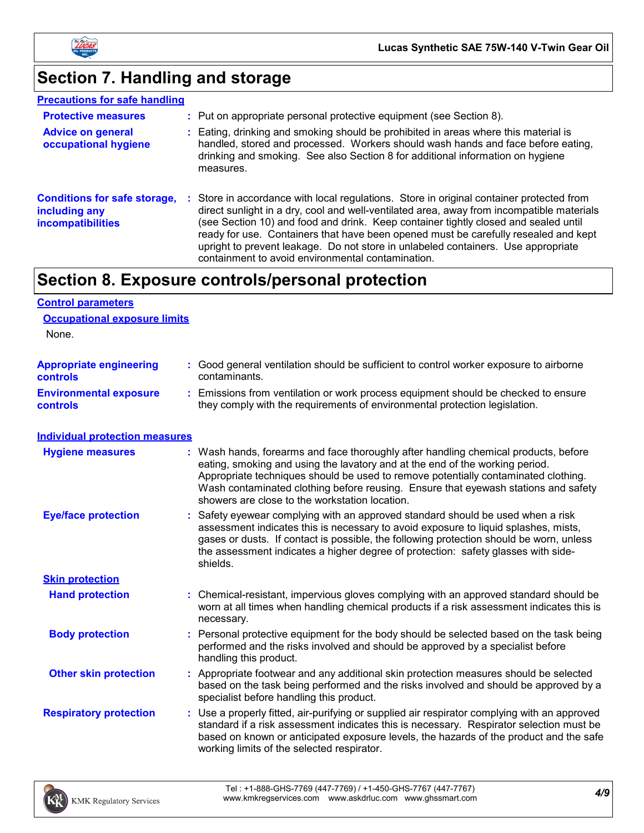

# **Section 7. Handling and storage**

| <b>Precautions for safe handling</b>                                             |                                                                                                                                                                                                                                                                                                                                                                                                                                                                                                             |
|----------------------------------------------------------------------------------|-------------------------------------------------------------------------------------------------------------------------------------------------------------------------------------------------------------------------------------------------------------------------------------------------------------------------------------------------------------------------------------------------------------------------------------------------------------------------------------------------------------|
| <b>Protective measures</b>                                                       | : Put on appropriate personal protective equipment (see Section 8).                                                                                                                                                                                                                                                                                                                                                                                                                                         |
| <b>Advice on general</b><br>occupational hygiene                                 | : Eating, drinking and smoking should be prohibited in areas where this material is<br>handled, stored and processed. Workers should wash hands and face before eating,<br>drinking and smoking. See also Section 8 for additional information on hygiene<br>measures.                                                                                                                                                                                                                                      |
| <b>Conditions for safe storage,</b><br>including any<br><i>incompatibilities</i> | Store in accordance with local regulations. Store in original container protected from<br>direct sunlight in a dry, cool and well-ventilated area, away from incompatible materials<br>(see Section 10) and food and drink. Keep container tightly closed and sealed until<br>ready for use. Containers that have been opened must be carefully resealed and kept<br>upright to prevent leakage. Do not store in unlabeled containers. Use appropriate<br>containment to avoid environmental contamination. |

### **Section 8. Exposure controls/personal protection**

| <b>Control parameters</b>                         |                                                                                                                                                                                                                                                                                                                                                                                                   |
|---------------------------------------------------|---------------------------------------------------------------------------------------------------------------------------------------------------------------------------------------------------------------------------------------------------------------------------------------------------------------------------------------------------------------------------------------------------|
| <b>Occupational exposure limits</b>               |                                                                                                                                                                                                                                                                                                                                                                                                   |
| None.                                             |                                                                                                                                                                                                                                                                                                                                                                                                   |
| <b>Appropriate engineering</b><br><b>controls</b> | : Good general ventilation should be sufficient to control worker exposure to airborne<br>contaminants.                                                                                                                                                                                                                                                                                           |
| <b>Environmental exposure</b><br><b>controls</b>  | : Emissions from ventilation or work process equipment should be checked to ensure<br>they comply with the requirements of environmental protection legislation.                                                                                                                                                                                                                                  |
| <b>Individual protection measures</b>             |                                                                                                                                                                                                                                                                                                                                                                                                   |
| <b>Hygiene measures</b>                           | : Wash hands, forearms and face thoroughly after handling chemical products, before<br>eating, smoking and using the lavatory and at the end of the working period.<br>Appropriate techniques should be used to remove potentially contaminated clothing.<br>Wash contaminated clothing before reusing. Ensure that eyewash stations and safety<br>showers are close to the workstation location. |
| <b>Eye/face protection</b>                        | : Safety eyewear complying with an approved standard should be used when a risk<br>assessment indicates this is necessary to avoid exposure to liquid splashes, mists,<br>gases or dusts. If contact is possible, the following protection should be worn, unless<br>the assessment indicates a higher degree of protection: safety glasses with side-<br>shields.                                |
| <b>Skin protection</b>                            |                                                                                                                                                                                                                                                                                                                                                                                                   |
| <b>Hand protection</b>                            | : Chemical-resistant, impervious gloves complying with an approved standard should be<br>worn at all times when handling chemical products if a risk assessment indicates this is<br>necessary.                                                                                                                                                                                                   |
| <b>Body protection</b>                            | : Personal protective equipment for the body should be selected based on the task being<br>performed and the risks involved and should be approved by a specialist before<br>handling this product.                                                                                                                                                                                               |
| <b>Other skin protection</b>                      | : Appropriate footwear and any additional skin protection measures should be selected<br>based on the task being performed and the risks involved and should be approved by a<br>specialist before handling this product.                                                                                                                                                                         |
| <b>Respiratory protection</b>                     | : Use a properly fitted, air-purifying or supplied air respirator complying with an approved<br>standard if a risk assessment indicates this is necessary. Respirator selection must be<br>based on known or anticipated exposure levels, the hazards of the product and the safe<br>working limits of the selected respirator.                                                                   |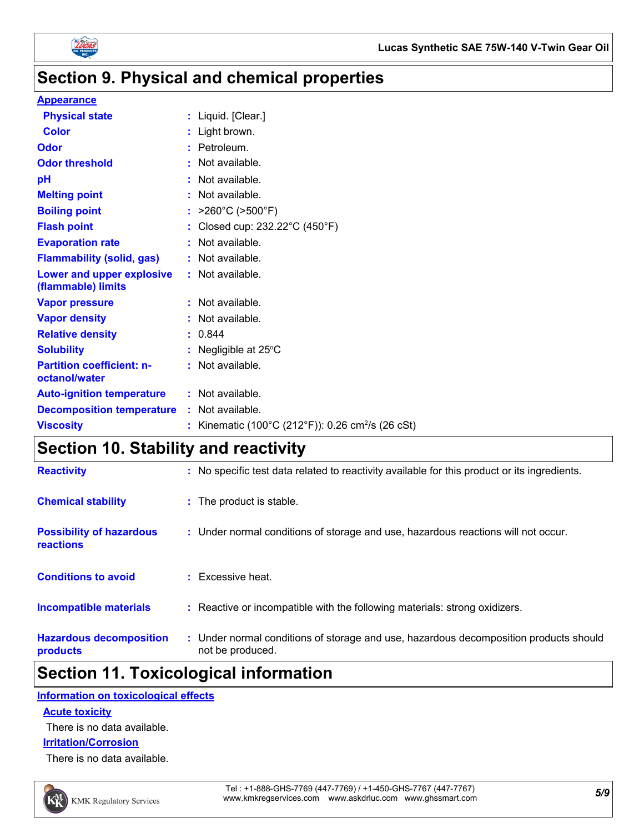

### **Section 9. Physical and chemical properties**

#### **Appearance**

| <b>Physical state</b>                             | : Liquid. [Clear.]                                            |
|---------------------------------------------------|---------------------------------------------------------------|
| <b>Color</b>                                      | : Light brown.                                                |
| <b>Odor</b>                                       | : Petroleum.                                                  |
| <b>Odor threshold</b>                             | : Not available.                                              |
| pH                                                | : Not available.                                              |
| <b>Melting point</b>                              | : Not available.                                              |
| <b>Boiling point</b>                              | : $>260^{\circ}$ C ( $>500^{\circ}$ F)                        |
| <b>Flash point</b>                                | : Closed cup: $232.22^{\circ}$ C (450 $^{\circ}$ F)           |
| <b>Evaporation rate</b>                           | : Not available.                                              |
| <b>Flammability (solid, gas)</b>                  | : Not available.                                              |
| Lower and upper explosive<br>(flammable) limits   | : Not available.                                              |
| <b>Vapor pressure</b>                             | : Not available.                                              |
| <b>Vapor density</b>                              | $:$ Not available.                                            |
| <b>Relative density</b>                           | : 0.844                                                       |
| <b>Solubility</b>                                 | : Negligible at $25^{\circ}$ C                                |
| <b>Partition coefficient: n-</b><br>octanol/water | : Not available.                                              |
| <b>Auto-ignition temperature</b>                  | : Not available.                                              |
| <b>Decomposition temperature</b>                  | : Not available.                                              |
| <b>Viscosity</b>                                  | : Kinematic (100°C (212°F)): 0.26 cm <sup>2</sup> /s (26 cSt) |

### **Section 10. Stability and reactivity**

| <b>Hazardous decomposition</b><br>products          | : Under normal conditions of storage and use, hazardous decomposition products should<br>not be produced. |
|-----------------------------------------------------|-----------------------------------------------------------------------------------------------------------|
| <b>Incompatible materials</b>                       | : Reactive or incompatible with the following materials: strong oxidizers.                                |
| <b>Conditions to avoid</b>                          | $\pm$ Excessive heat.                                                                                     |
| <b>Possibility of hazardous</b><br><b>reactions</b> | : Under normal conditions of storage and use, hazardous reactions will not occur.                         |
| <b>Chemical stability</b>                           | : The product is stable.                                                                                  |
| <b>Reactivity</b>                                   | : No specific test data related to reactivity available for this product or its ingredients.              |

### **Section 11. Toxicological information**

#### **Information on toxicological effects**

#### **Acute toxicity**

There is no data available.

#### **Irritation/Corrosion**

There is no data available.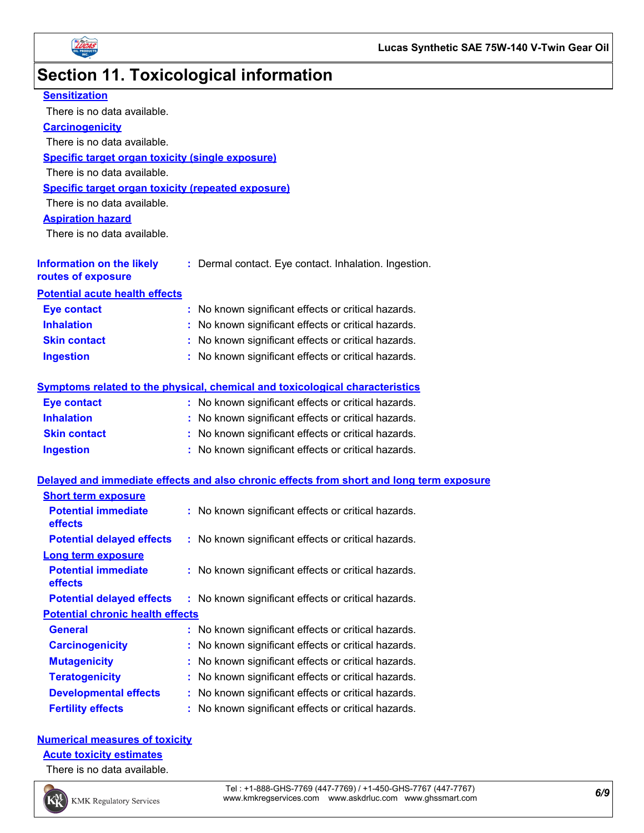

# **Section 11. Toxicological information**

| <b>Sensitization</b>                                      |                                                                                          |
|-----------------------------------------------------------|------------------------------------------------------------------------------------------|
| There is no data available.                               |                                                                                          |
| <b>Carcinogenicity</b>                                    |                                                                                          |
| There is no data available.                               |                                                                                          |
| Specific target organ toxicity (single exposure)          |                                                                                          |
| There is no data available.                               |                                                                                          |
| <b>Specific target organ toxicity (repeated exposure)</b> |                                                                                          |
| There is no data available.                               |                                                                                          |
| <b>Aspiration hazard</b>                                  |                                                                                          |
| There is no data available.                               |                                                                                          |
| <b>Information on the likely</b><br>routes of exposure    | : Dermal contact. Eye contact. Inhalation. Ingestion.                                    |
| <b>Potential acute health effects</b>                     |                                                                                          |
| <b>Eye contact</b>                                        | : No known significant effects or critical hazards.                                      |
| <b>Inhalation</b>                                         | : No known significant effects or critical hazards.                                      |
| <b>Skin contact</b>                                       | : No known significant effects or critical hazards.                                      |
| <b>Ingestion</b>                                          | : No known significant effects or critical hazards.                                      |
|                                                           | Symptoms related to the physical, chemical and toxicological characteristics             |
| <b>Eye contact</b>                                        | : No known significant effects or critical hazards.                                      |
| <b>Inhalation</b>                                         | : No known significant effects or critical hazards.                                      |
| <b>Skin contact</b>                                       | : No known significant effects or critical hazards.                                      |
| <b>Ingestion</b>                                          | : No known significant effects or critical hazards.                                      |
|                                                           | Delayed and immediate effects and also chronic effects from short and long term exposure |
| <b>Short term exposure</b>                                |                                                                                          |
| <b>Potential immediate</b><br>effects                     | : No known significant effects or critical hazards.                                      |
| <b>Potential delayed effects</b>                          | : No known significant effects or critical hazards.                                      |
| <b>Long term exposure</b>                                 |                                                                                          |
| <b>Potential immediate</b><br>effects                     | : No known significant effects or critical hazards.                                      |
| <b>Potential delayed effects</b>                          | : No known significant effects or critical hazards.                                      |
| <b>Potential chronic health effects</b>                   |                                                                                          |
| <b>General</b>                                            | No known significant effects or critical hazards.                                        |
| <b>Carcinogenicity</b>                                    | No known significant effects or critical hazards.                                        |
| <b>Mutagenicity</b>                                       | No known significant effects or critical hazards.                                        |
| <b>Teratogenicity</b>                                     | No known significant effects or critical hazards.                                        |
| <b>Developmental effects</b>                              | No known significant effects or critical hazards.                                        |
| <b>Fertility effects</b>                                  | No known significant effects or critical hazards.                                        |
|                                                           |                                                                                          |

#### **Numerical measures of toxicity**

**Acute toxicity estimates**

There is no data available.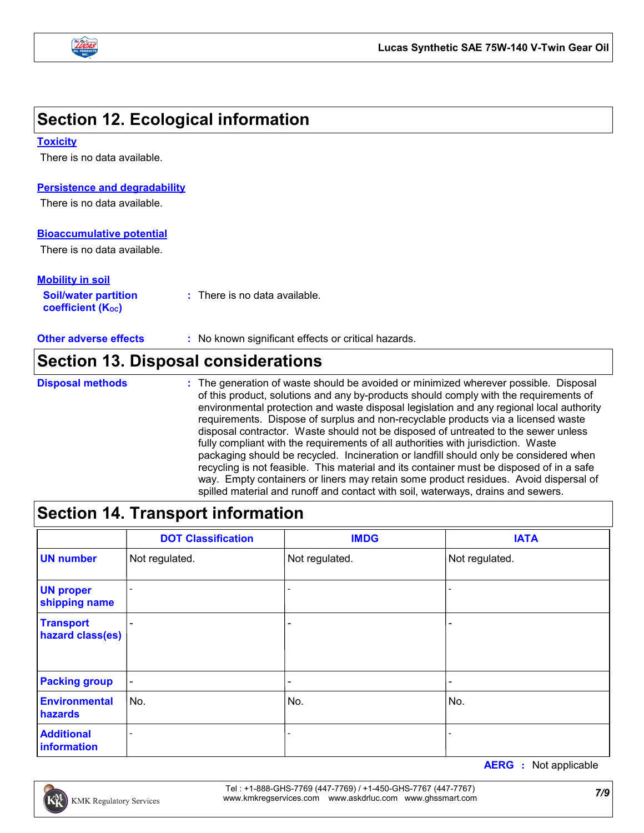

### **Section 12. Ecological information**

#### **Toxicity**

There is no data available.

#### **Persistence and degradability**

There is no data available.

#### **Bioaccumulative potential**

There is no data available.

#### **Mobility in soil**

| <b>Soil/water partition</b> | : There is no data available. |
|-----------------------------|-------------------------------|
| <b>coefficient (Koc)</b>    |                               |

**Other adverse effects :** No known significant effects or critical hazards.

### **Section 13. Disposal considerations**

#### **Disposal methods :**

The generation of waste should be avoided or minimized wherever possible. Disposal of this product, solutions and any by-products should comply with the requirements of environmental protection and waste disposal legislation and any regional local authority requirements. Dispose of surplus and non-recyclable products via a licensed waste disposal contractor. Waste should not be disposed of untreated to the sewer unless fully compliant with the requirements of all authorities with jurisdiction. Waste packaging should be recycled. Incineration or landfill should only be considered when recycling is not feasible. This material and its container must be disposed of in a safe way. Empty containers or liners may retain some product residues. Avoid dispersal of spilled material and runoff and contact with soil, waterways, drains and sewers.

### **Section 14. Transport information**

|                                      | <b>DOT Classification</b> | <b>IMDG</b>              | <b>IATA</b>              |  |
|--------------------------------------|---------------------------|--------------------------|--------------------------|--|
| <b>UN number</b>                     | Not regulated.            | Not regulated.           | Not regulated.           |  |
| <b>UN proper</b><br>shipping name    |                           | $\overline{\phantom{a}}$ | $\overline{\phantom{a}}$ |  |
| <b>Transport</b><br>hazard class(es) | $\overline{\phantom{0}}$  | $\overline{\phantom{0}}$ | $\overline{\phantom{a}}$ |  |
| <b>Packing group</b>                 | $\blacksquare$            |                          | $\overline{\phantom{a}}$ |  |
| <b>Environmental</b><br>hazards      | No.                       | No.                      | ∣No.                     |  |
| <b>Additional</b><br>information     | $\overline{a}$            |                          |                          |  |

**AERG :** Not applicable

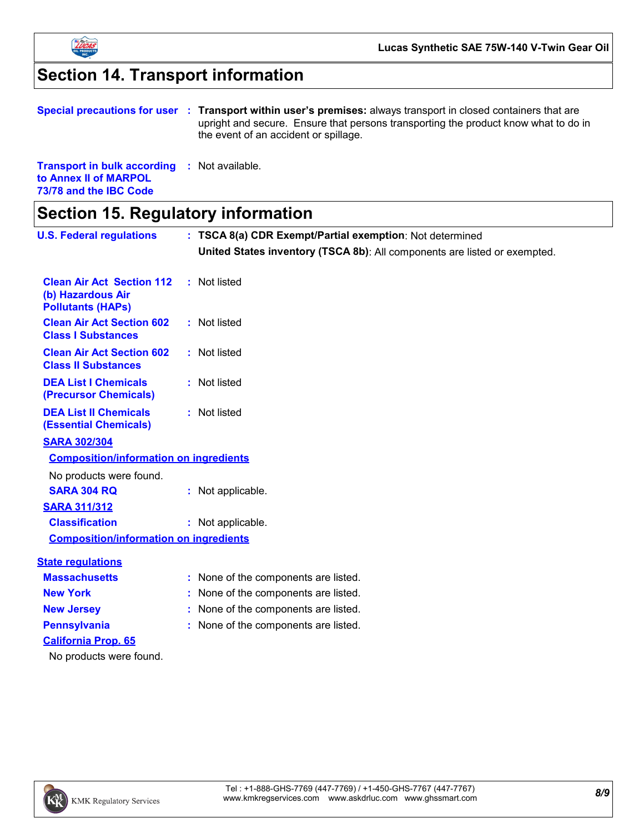

# **Section 14. Transport information**

|                                                                              | Special precautions for user : Transport within user's premises: always transport in closed containers that are<br>upright and secure. Ensure that persons transporting the product know what to do in<br>the event of an accident or spillage. |
|------------------------------------------------------------------------------|-------------------------------------------------------------------------------------------------------------------------------------------------------------------------------------------------------------------------------------------------|
| <b>Transport in bulk according : Not available.</b><br>to Annex II of MARPOL |                                                                                                                                                                                                                                                 |

**73/78 and the IBC Code**

**Section 15. Regulatory information**

| <b>U.S. Federal regulations</b>                                                   | : TSCA 8(a) CDR Exempt/Partial exemption: Not determined                  |
|-----------------------------------------------------------------------------------|---------------------------------------------------------------------------|
|                                                                                   | United States inventory (TSCA 8b): All components are listed or exempted. |
| <b>Clean Air Act Section 112</b><br>(b) Hazardous Air<br><b>Pollutants (HAPs)</b> | : Not listed                                                              |
| <b>Clean Air Act Section 602</b><br><b>Class I Substances</b>                     | : Not listed                                                              |
| <b>Clean Air Act Section 602</b><br><b>Class II Substances</b>                    | : Not listed                                                              |
| <b>DEA List I Chemicals</b><br>(Precursor Chemicals)                              | : Not listed                                                              |
| <b>DEA List II Chemicals</b><br><b>(Essential Chemicals)</b>                      | : Not listed                                                              |
| <b>SARA 302/304</b>                                                               |                                                                           |
| <b>Composition/information on ingredients</b>                                     |                                                                           |
| No products were found.                                                           |                                                                           |
| <b>SARA 304 RQ</b>                                                                | : Not applicable.                                                         |
| <b>SARA 311/312</b>                                                               |                                                                           |
| <b>Classification</b>                                                             | : Not applicable.                                                         |
| <b>Composition/information on ingredients</b>                                     |                                                                           |
| <b>State regulations</b>                                                          |                                                                           |
| <b>Massachusetts</b>                                                              | : None of the components are listed.                                      |
| <b>New York</b>                                                                   | : None of the components are listed.                                      |
| <b>New Jersey</b>                                                                 | : None of the components are listed.                                      |
| <b>Pennsylvania</b>                                                               | : None of the components are listed.                                      |
| <b>California Prop. 65</b>                                                        |                                                                           |
| No products were found.                                                           |                                                                           |